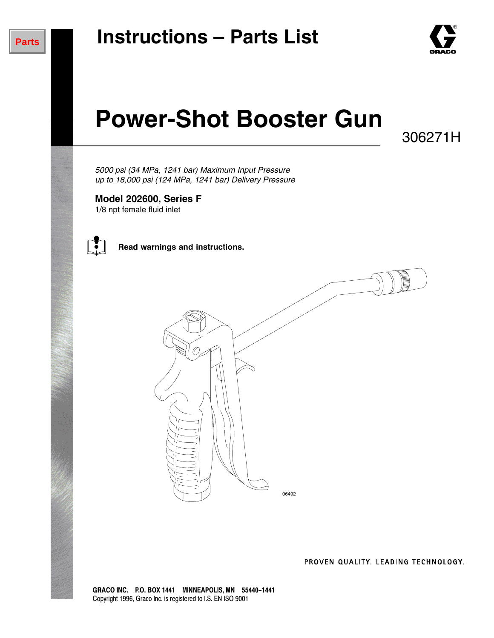

# **Power-Shot Booster Gun**

306271H

*5000 psi (34 MPa, 1241 bar) Maximum Input Pressure up to 18,000 psi (124 MPa, 1241 bar) Delivery Pressure*

**Model 202600, Series F** 1/8 npt female fluid inlet



**Read warnings and instructions.**



PROVEN QUALITY, LEADING TECHNOLOGY.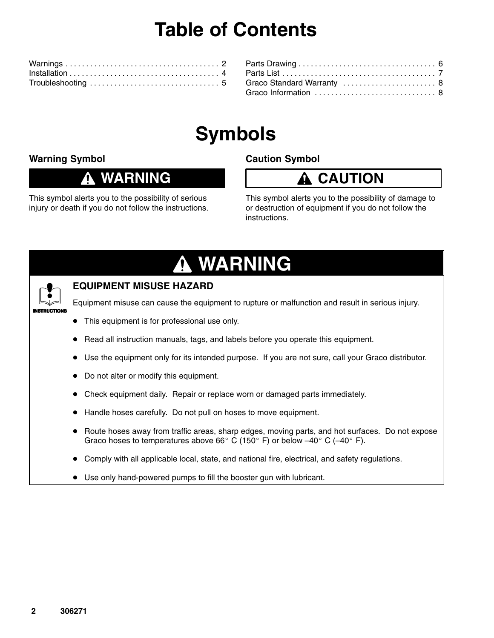## **Table of Contents**

| Graco Standard Warranty  8 |  |
|----------------------------|--|
| Graco Information  8       |  |
|                            |  |

## **Symbols**

#### **Warning Symbol**

#### **WARNING** O

This symbol alerts you to the possibility of serious injury or death if you do not follow the instructions.

### **Caution Symbol**



This symbol alerts you to the possibility of damage to or destruction of equipment if you do not follow the instructions.

| A WARNING    |                                                                                                                                                                                                                       |  |  |  |  |  |
|--------------|-----------------------------------------------------------------------------------------------------------------------------------------------------------------------------------------------------------------------|--|--|--|--|--|
|              | <b>EQUIPMENT MISUSE HAZARD</b>                                                                                                                                                                                        |  |  |  |  |  |
| INSTRUCTIONS | Equipment misuse can cause the equipment to rupture or malfunction and result in serious injury.                                                                                                                      |  |  |  |  |  |
|              | This equipment is for professional use only.                                                                                                                                                                          |  |  |  |  |  |
|              | Read all instruction manuals, tags, and labels before you operate this equipment.                                                                                                                                     |  |  |  |  |  |
|              | Use the equipment only for its intended purpose. If you are not sure, call your Graco distributor.                                                                                                                    |  |  |  |  |  |
|              | Do not alter or modify this equipment.                                                                                                                                                                                |  |  |  |  |  |
|              | Check equipment daily. Repair or replace worn or damaged parts immediately.                                                                                                                                           |  |  |  |  |  |
|              | Handle hoses carefully. Do not pull on hoses to move equipment.                                                                                                                                                       |  |  |  |  |  |
|              | Route hoses away from traffic areas, sharp edges, moving parts, and hot surfaces. Do not expose<br>Graco hoses to temperatures above 66 $^{\circ}$ C (150 $^{\circ}$ F) or below -40 $^{\circ}$ C (-40 $^{\circ}$ F). |  |  |  |  |  |
|              | Comply with all applicable local, state, and national fire, electrical, and safety regulations.                                                                                                                       |  |  |  |  |  |
|              | Use only hand-powered pumps to fill the booster gun with lubricant.                                                                                                                                                   |  |  |  |  |  |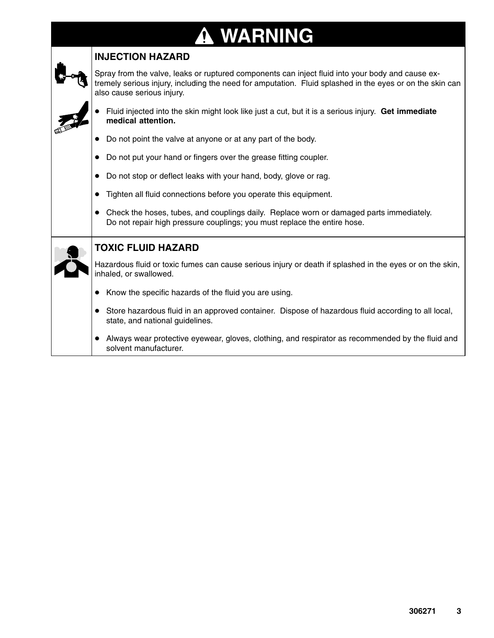# **WARNING**

| <b>INJECTION HAZARD</b>                                                                                                                                                                                                                    |  |  |  |  |  |  |
|--------------------------------------------------------------------------------------------------------------------------------------------------------------------------------------------------------------------------------------------|--|--|--|--|--|--|
| Spray from the valve, leaks or ruptured components can inject fluid into your body and cause ex-<br>tremely serious injury, including the need for amputation. Fluid splashed in the eyes or on the skin can<br>also cause serious injury. |  |  |  |  |  |  |
| Fluid injected into the skin might look like just a cut, but it is a serious injury. Get immediate<br>medical attention.                                                                                                                   |  |  |  |  |  |  |
| Do not point the valve at anyone or at any part of the body.                                                                                                                                                                               |  |  |  |  |  |  |
| Do not put your hand or fingers over the grease fitting coupler.                                                                                                                                                                           |  |  |  |  |  |  |
| Do not stop or deflect leaks with your hand, body, glove or rag.                                                                                                                                                                           |  |  |  |  |  |  |
| Tighten all fluid connections before you operate this equipment.                                                                                                                                                                           |  |  |  |  |  |  |
| Check the hoses, tubes, and couplings daily. Replace worn or damaged parts immediately.<br>Do not repair high pressure couplings; you must replace the entire hose.                                                                        |  |  |  |  |  |  |
| <b>TOXIC FLUID HAZARD</b>                                                                                                                                                                                                                  |  |  |  |  |  |  |
| Hazardous fluid or toxic fumes can cause serious injury or death if splashed in the eyes or on the skin,<br>inhaled, or swallowed.                                                                                                         |  |  |  |  |  |  |
| Know the specific hazards of the fluid you are using.<br>$\bullet$                                                                                                                                                                         |  |  |  |  |  |  |
| Store hazardous fluid in an approved container. Dispose of hazardous fluid according to all local,<br>$\bullet$<br>state, and national guidelines.                                                                                         |  |  |  |  |  |  |
| Always wear protective eyewear, gloves, clothing, and respirator as recommended by the fluid and<br>solvent manufacturer.                                                                                                                  |  |  |  |  |  |  |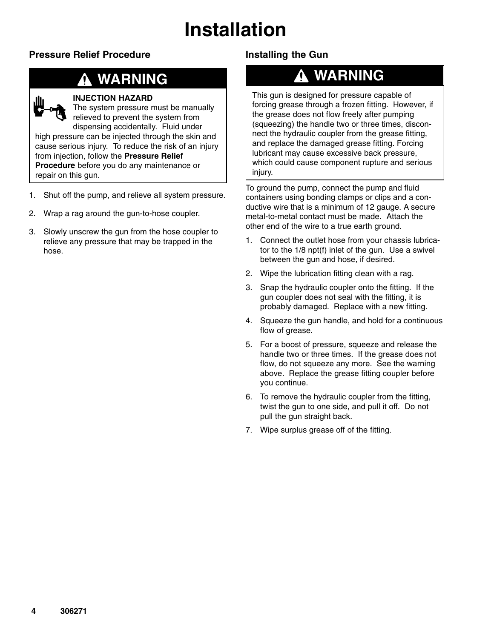## **Installation**

### **Pressure Relief Procedure**

### **WARNING**



#### **INJECTION HAZARD**

The system pressure must be manually relieved to prevent the system from dispensing accidentally. Fluid under high pressure can be injected through the skin and cause serious injury. To reduce the risk of an injury from injection, follow the **Pressure Relief Procedure** before you do any maintenance or repair on this gun.

- 1. Shut off the pump, and relieve all system pressure.
- 2. Wrap a rag around the gun-to-hose coupler.
- 3. Slowly unscrew the gun from the hose coupler to relieve any pressure that may be trapped in the hose.

### **Installing the Gun**

### **WARNING**

This gun is designed for pressure capable of forcing grease through a frozen fitting. However, if the grease does not flow freely after pumping (squeezing) the handle two or three times, disconnect the hydraulic coupler from the grease fitting, and replace the damaged grease fitting. Forcing lubricant may cause excessive back pressure, which could cause component rupture and serious injury.

To ground the pump, connect the pump and fluid containers using bonding clamps or clips and a conductive wire that is a minimum of 12 gauge. A secure metal-to-metal contact must be made. Attach the other end of the wire to a true earth ground.

- 1. Connect the outlet hose from your chassis lubricator to the 1/8 npt(f) inlet of the gun. Use a swivel between the gun and hose, if desired.
- 2. Wipe the lubrication fitting clean with a rag.
- 3. Snap the hydraulic coupler onto the fitting. If the gun coupler does not seal with the fitting, it is probably damaged. Replace with a new fitting.
- 4. Squeeze the gun handle, and hold for a continuous flow of grease.
- 5. For a boost of pressure, squeeze and release the handle two or three times. If the grease does not flow, do not squeeze any more. See the warning above. Replace the grease fitting coupler before you continue.
- 6. To remove the hydraulic coupler from the fitting, twist the gun to one side, and pull it off. Do not pull the gun straight back.
- 7. Wipe surplus grease off of the fitting.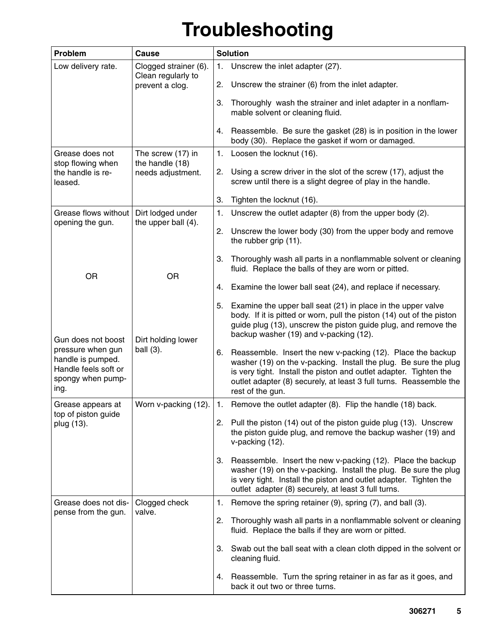# **Troubleshooting**

| Problem                                                                                     | <b>Cause</b>                                              | <b>Solution</b> |                                                                                                                                                                                                                                                                                                |  |
|---------------------------------------------------------------------------------------------|-----------------------------------------------------------|-----------------|------------------------------------------------------------------------------------------------------------------------------------------------------------------------------------------------------------------------------------------------------------------------------------------------|--|
| Low delivery rate.                                                                          | Clogged strainer (6).<br>Clean regularly to               | 1.              | Unscrew the inlet adapter (27).                                                                                                                                                                                                                                                                |  |
|                                                                                             | prevent a clog.                                           | 2.              | Unscrew the strainer (6) from the inlet adapter.                                                                                                                                                                                                                                               |  |
|                                                                                             |                                                           | 3.              | Thoroughly wash the strainer and inlet adapter in a nonflam-<br>mable solvent or cleaning fluid.                                                                                                                                                                                               |  |
|                                                                                             |                                                           | 4.              | Reassemble. Be sure the gasket (28) is in position in the lower<br>body (30). Replace the gasket if worn or damaged.                                                                                                                                                                           |  |
| Grease does not                                                                             | The screw (17) in<br>the handle (18)<br>needs adjustment. | 1.              | Loosen the locknut (16).                                                                                                                                                                                                                                                                       |  |
| stop flowing when<br>the handle is re-<br>leased.                                           |                                                           |                 | 2. Using a screw driver in the slot of the screw (17), adjust the<br>screw until there is a slight degree of play in the handle.                                                                                                                                                               |  |
|                                                                                             |                                                           | 3.              | Tighten the locknut (16).                                                                                                                                                                                                                                                                      |  |
| Grease flows without                                                                        | Dirt lodged under                                         | 1.              | Unscrew the outlet adapter (8) from the upper body (2).                                                                                                                                                                                                                                        |  |
| opening the gun.                                                                            | the upper ball (4).                                       |                 | 2. Unscrew the lower body (30) from the upper body and remove<br>the rubber grip (11).                                                                                                                                                                                                         |  |
| <b>OR</b>                                                                                   | <b>OR</b>                                                 | 3.              | Thoroughly wash all parts in a nonflammable solvent or cleaning<br>fluid. Replace the balls of they are worn or pitted.                                                                                                                                                                        |  |
|                                                                                             |                                                           | 4.              | Examine the lower ball seat (24), and replace if necessary.                                                                                                                                                                                                                                    |  |
| Gun does not boost                                                                          |                                                           | 5.              | Examine the upper ball seat (21) in place in the upper valve<br>body. If it is pitted or worn, pull the piston (14) out of the piston<br>guide plug (13), unscrew the piston guide plug, and remove the<br>backup washer (19) and v-packing (12).                                              |  |
| pressure when gun<br>handle is pumped.<br>Handle feels soft or<br>spongy when pump-<br>ing. | Dirt holding lower<br>ball (3).                           |                 | Reassemble. Insert the new v-packing (12). Place the backup<br>washer (19) on the v-packing. Install the plug. Be sure the plug<br>is very tight. Install the piston and outlet adapter. Tighten the<br>outlet adapter (8) securely, at least 3 full turns. Reassemble the<br>rest of the gun. |  |
| Grease appears at                                                                           | Worn v-packing (12).                                      | $\mathbf{1}$ .  | Remove the outlet adapter (8). Flip the handle (18) back.                                                                                                                                                                                                                                      |  |
| top of piston guide<br>plug (13).                                                           |                                                           | 2.              | Pull the piston (14) out of the piston guide plug (13). Unscrew<br>the piston guide plug, and remove the backup washer (19) and<br>v-packing (12).                                                                                                                                             |  |
|                                                                                             |                                                           | 3.              | Reassemble. Insert the new v-packing (12). Place the backup<br>washer (19) on the v-packing. Install the plug. Be sure the plug<br>is very tight. Install the piston and outlet adapter. Tighten the<br>outlet adapter (8) securely, at least 3 full turns.                                    |  |
| Grease does not dis-                                                                        | Clogged check<br>valve.                                   | 1.              | Remove the spring retainer (9), spring (7), and ball (3).                                                                                                                                                                                                                                      |  |
| pense from the gun.                                                                         |                                                           | 2.              | Thoroughly wash all parts in a nonflammable solvent or cleaning<br>fluid. Replace the balls if they are worn or pitted.                                                                                                                                                                        |  |
|                                                                                             |                                                           | 3.              | Swab out the ball seat with a clean cloth dipped in the solvent or<br>cleaning fluid.                                                                                                                                                                                                          |  |
|                                                                                             |                                                           | 4.              | Reassemble. Turn the spring retainer in as far as it goes, and<br>back it out two or three turns.                                                                                                                                                                                              |  |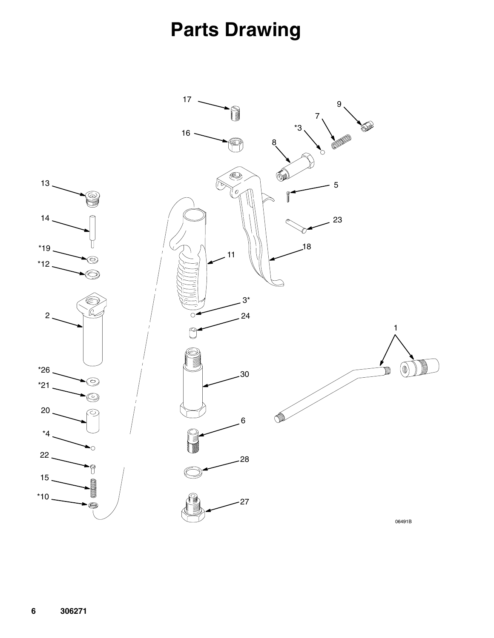### **Parts Drawing**

<span id="page-5-0"></span>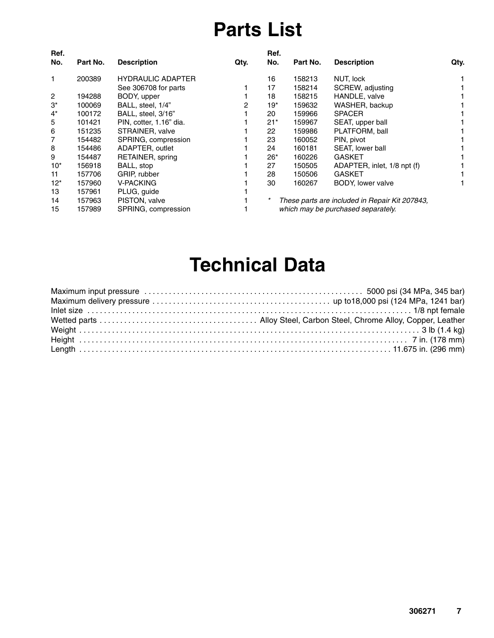### **Parts List**

| Ref.           |          |                          |      | Ref.  |          |                                                |      |
|----------------|----------|--------------------------|------|-------|----------|------------------------------------------------|------|
| No.            | Part No. | <b>Description</b>       | Qty. | No.   | Part No. | <b>Description</b>                             | Qty. |
| 1              | 200389   | <b>HYDRAULIC ADAPTER</b> |      | 16    | 158213   | NUT, lock                                      |      |
|                |          | See 306708 for parts     |      | 17    | 158214   | SCREW, adjusting                               |      |
| $\overline{2}$ | 194288   | BODY, upper              |      | 18    | 158215   | HANDLE, valve                                  |      |
| $3^*$          | 100069   | BALL, steel, 1/4"        | 2    | 19*   | 159632   | WASHER, backup                                 |      |
| $4^*$          | 100172   | BALL, steel, 3/16"       |      | 20    | 159966   | <b>SPACER</b>                                  |      |
| 5              | 101421   | PIN, cotter, 1.16" dia.  |      | $21*$ | 159967   | SEAT, upper ball                               |      |
| 6              | 151235   | STRAINER, valve          |      | 22    | 159986   | PLATFORM, ball                                 |      |
| 7              | 154482   | SPRING, compression      |      | 23    | 160052   | PIN, pivot                                     |      |
| 8              | 154486   | ADAPTER, outlet          |      | 24    | 160181   | SEAT, lower ball                               |      |
| 9              | 154487   | RETAINER, spring         |      | $26*$ | 160226   | <b>GASKET</b>                                  |      |
| $10*$          | 156918   | BALL, stop               |      | 27    | 150505   | ADAPTER, inlet, 1/8 npt (f)                    |      |
| 11             | 157706   | GRIP, rubber             |      | 28    | 150506   | <b>GASKET</b>                                  |      |
| $12^*$         | 157960   | V-PACKING                |      | 30    | 160267   | BODY, lower valve                              |      |
| 13             | 157961   | PLUG, guide              |      |       |          |                                                |      |
| 14             | 157963   | PISTON, valve            |      |       |          | These parts are included in Repair Kit 207843, |      |
| 15             | 157989   | SPRING, compression      |      |       |          | which may be purchased separately.             |      |
|                |          |                          |      |       |          |                                                |      |

### **Technical Data**